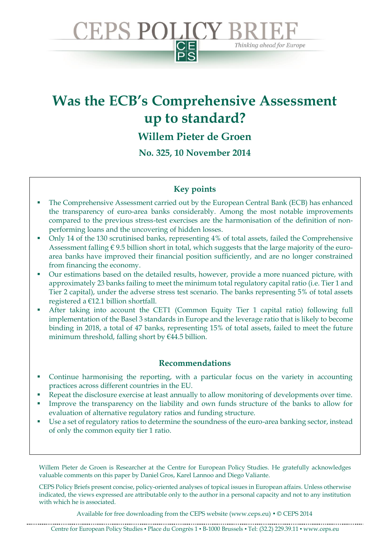

Thinking ahead for Europe

**CEPS POLICY B** 

**Willem Pieter de Groen** 

**No. 325, 10 November 2014**

## **Key points**

- The Comprehensive Assessment carried out by the European Central Bank (ECB) has enhanced the transparency of euro-area banks considerably. Among the most notable improvements compared to the previous stress-test exercises are the harmonisation of the definition of nonperforming loans and the uncovering of hidden losses.
- Only 14 of the 130 scrutinised banks, representing 4% of total assets, failed the Comprehensive Assessment falling  $\epsilon$  9.5 billion short in total, which suggests that the large majority of the euroarea banks have improved their financial position sufficiently, and are no longer constrained from financing the economy.
- Our estimations based on the detailed results, however, provide a more nuanced picture, with approximately 23 banks failing to meet the minimum total regulatory capital ratio (i.e. Tier 1 and Tier 2 capital), under the adverse stress test scenario. The banks representing 5% of total assets registered a €12.1 billion shortfall.
- After taking into account the CET1 (Common Equity Tier 1 capital ratio) following full implementation of the Basel 3 standards in Europe and the leverage ratio that is likely to become binding in 2018, a total of 47 banks, representing 15% of total assets, failed to meet the future minimum threshold, falling short by  $€44.5$  billion.

#### **Recommendations**

- Continue harmonising the reporting, with a particular focus on the variety in accounting practices across different countries in the EU.
- Repeat the disclosure exercise at least annually to allow monitoring of developments over time.
- Improve the transparency on the liability and own funds structure of the banks to allow for evaluation of alternative regulatory ratios and funding structure.
- Use a set of regulatory ratios to determine the soundness of the euro-area banking sector, instead of only the common equity tier 1 ratio.

Willem Pieter de Groen is Researcher at the Centre for European Policy Studies. He gratefully acknowledges valuable comments on this paper by Daniel Gros, Karel Lannoo and Diego Valiante.

CEPS Policy Briefs present concise, policy-oriented analyses of topical issues in European affairs. Unless otherwise indicated, the views expressed are attributable only to the author in a personal capacity and not to any institution with which he is associated.

Available for free downloading from the CEPS website (www.ceps.eu)  $\bullet$  © CEPS 2014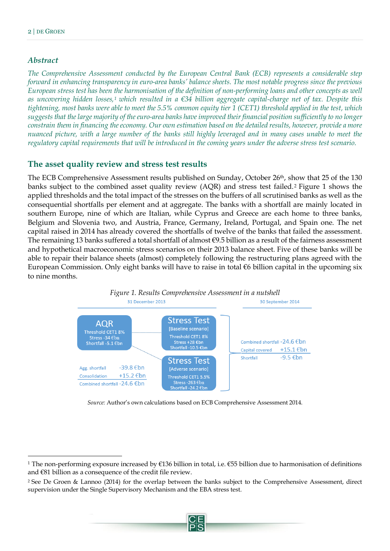#### *Abstract*

 $\ddot{\phantom{a}}$ 

*The Comprehensive Assessment conducted by the European Central Bank (ECB) represents a considerable step forward in enhancing transparency in euro-area banks' balance sheets. The most notable progress since the previous European stress test has been the harmonisation of the definition of non-performing loans and other concepts as well as uncovering hidden losses, <sup>1</sup> which resulted in a €34 billion aggregate capital-charge net of tax. Despite this tightening, most banks were able to meet the 5.5% common equity tier 1 (CET1) threshold applied in the test, which suggests that the large majority of the euro-area banks have improved their financial position sufficiently to no longer constrain them in financing the economy. Our own estimation based on the detailed results, however, provide a more nuanced picture, with a large number of the banks still highly leveraged and in many cases unable to meet the regulatory capital requirements that will be introduced in the coming years under the adverse stress test scenario.*

## **The asset quality review and stress test results**

The ECB Comprehensive Assessment results published on Sunday, October 26<sup>th</sup>, show that 25 of the 130 banks subject to the combined asset quality review (AQR) and stress test failed.<sup>2</sup> Figure 1 shows the applied thresholds and the total impact of the stresses on the buffers of all scrutinised banks as well as the consequential shortfalls per element and at aggregate. The banks with a shortfall are mainly located in southern Europe, nine of which are Italian, while Cyprus and Greece are each home to three banks, Belgium and Slovenia two, and Austria, France, Germany, Ireland, Portugal, and Spain one. The net capital raised in 2014 has already covered the shortfalls of twelve of the banks that failed the assessment. The remaining 13 banks suffered a total shortfall of almost €9.5 billion as a result of the fairness assessment and hypothetical macroeconomic stress scenarios on their 2013 balance sheet. Five of these banks will be able to repair their balance sheets (almost) completely following the restructuring plans agreed with the European Commission. Only eight banks will have to raise in total €6 billion capital in the upcoming six to nine months.



*Source:* Author's own calculations based on ECB Comprehensive Assessment 2014.

<sup>2</sup> See De Groen & Lannoo (2014) for the overlap between the banks subject to the Comprehensive Assessment, direct supervision under the Single Supervisory Mechanism and the EBA stress test.



<sup>1</sup> The non-performing exposure increased by €136 billion in total, i.e. €55 billion due to harmonisation of definitions and €81 billion as a consequence of the credit file review.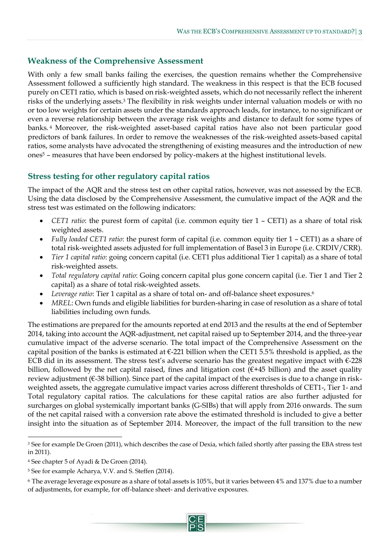#### **Weakness of the Comprehensive Assessment**

With only a few small banks failing the exercises, the question remains whether the Comprehensive Assessment followed a sufficiently high standard. The weakness in this respect is that the ECB focused purely on CET1 ratio, which is based on risk-weighted assets, which do not necessarily reflect the inherent risks of the underlying assets.<sup>3</sup> The flexibility in risk weights under internal valuation models or with no or too low weights for certain assets under the standards approach leads, for instance, to no significant or even a reverse relationship between the average risk weights and distance to default for some types of banks. <sup>4</sup> Moreover, the risk-weighted asset-based capital ratios have also not been particular good predictors of bank failures. In order to remove the weaknesses of the risk-weighted assets-based capital ratios, some analysts have advocated the strengthening of existing measures and the introduction of new ones<sup>5</sup> – measures that have been endorsed by policy-makers at the highest institutional levels.

# **Stress testing for other regulatory capital ratios**

The impact of the AQR and the stress test on other capital ratios, however, was not assessed by the ECB. Using the data disclosed by the Comprehensive Assessment, the cumulative impact of the AQR and the stress test was estimated on the following indicators:

- *CET1 ratio*: the purest form of capital (i.e. common equity tier 1 CET1) as a share of total risk weighted assets.
- *Fully loaded CET1 ratio*: the purest form of capital (i.e. common equity tier 1 CET1) as a share of total risk-weighted assets adjusted for full implementation of Basel 3 in Europe (i.e. CRDIV/CRR).
- *Tier 1 capital ratio*: going concern capital (i.e. CET1 plus additional Tier 1 capital) as a share of total risk-weighted assets.
- *Total regulatory capital ratio*: Going concern capital plus gone concern capital (i.e. Tier 1 and Tier 2 capital) as a share of total risk-weighted assets.
- *Leverage ratio*: Tier 1 capital as a share of total on- and off-balance sheet exposures. 6
- *MREL*: Own funds and eligible liabilities for burden-sharing in case of resolution as a share of total liabilities including own funds.

The estimations are prepared for the amounts reported at end 2013 and the results at the end of September 2014, taking into account the AQR-adjustment, net capital raised up to September 2014, and the three-year cumulative impact of the adverse scenario. The total impact of the Comprehensive Assessment on the capital position of the banks is estimated at  $\epsilon$ -221 billion when the CET1 5.5% threshold is applied, as the ECB did in its assessment. The stress test's adverse scenario has the greatest negative impact with €-228 billion, followed by the net capital raised, fines and litigation cost ( $\epsilon$ +45 billion) and the asset quality review adjustment (€-38 billion). Since part of the capital impact of the exercises is due to a change in riskweighted assets, the aggregate cumulative impact varies across different thresholds of CET1-, Tier 1- and Total regulatory capital ratios. The calculations for these capital ratios are also further adjusted for surcharges on global systemically important banks (G-SIBs) that will apply from 2016 onwards. The sum of the net capital raised with a conversion rate above the estimated threshold is included to give a better insight into the situation as of September 2014. Moreover, the impact of the full transition to the new

 $\ddot{\phantom{a}}$ 

<sup>&</sup>lt;sup>3</sup> See for example De Groen (2011), which describes the case of Dexia, which failed shortly after passing the EBA stress test in 2011).

<sup>4</sup> See chapter 5 of Ayadi & De Groen (2014).

<sup>5</sup> See for example Acharya, V.V. and S. Steffen (2014).

<sup>6</sup> The average leverage exposure as a share of total assets is 105%, but it varies between 4% and 137% due to a number of adjustments, for example, for off-balance sheet- and derivative exposures.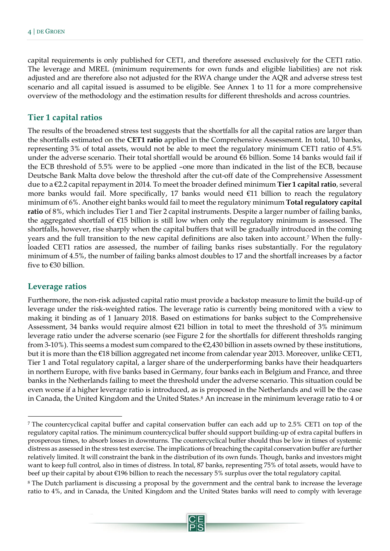capital requirements is only published for CET1, and therefore assessed exclusively for the CET1 ratio. The leverage and MREL (minimum requirements for own funds and eligible liabilities) are not risk adjusted and are therefore also not adjusted for the RWA change under the AQR and adverse stress test scenario and all capital issued is assumed to be eligible. See [Annex 1](#page-7-0) to 11 for a more comprehensive overview of the methodology and the estimation results for different thresholds and across countries.

#### **Tier 1 capital ratios**

The results of the broadened stress test suggests that the shortfalls for all the capital ratios are larger than the shortfalls estimated on the **CET1 ratio** applied in the Comprehensive Assessment. In total, 10 banks, representing 3% of total assets, would not be able to meet the regulatory minimum CET1 ratio of 4.5% under the adverse scenario. Their total shortfall would be around €6 billion. Some 14 banks would fail if the ECB threshold of 5.5% were to be applied –one more than indicated in the list of the ECB, because Deutsche Bank Malta dove below the threshold after the cut-off date of the Comprehensive Assessment due to a €2.2 capital repayment in 2014. To meet the broader defined minimum **Tier 1 capital ratio**, several more banks would fail. More specifically, 17 banks would need €11 billion to reach the regulatory minimum of 6%. Another eight banks would fail to meet the regulatory minimum **Total regulatory capital ratio** of 8%, which includes Tier 1 and Tier 2 capital instruments. Despite a larger number of failing banks, the aggregated shortfall of €15 billion is still low when only the regulatory minimum is assessed. The shortfalls, however, rise sharply when the capital buffers that will be gradually introduced in the coming years and the full transition to the new capital definitions are also taken into account.<sup>7</sup> When the fullyloaded CET1 ratios are assessed, the number of failing banks rises substantially. For the regulatory minimum of 4.5%, the number of failing banks almost doubles to 17 and the shortfall increases by a factor five to €30 billion.

#### **Leverage ratios**

 $\overline{a}$ 

Furthermore, the non-risk adjusted capital ratio must provide a backstop measure to limit the build-up of leverage under the risk-weighted ratios. The leverage ratio is currently being monitored with a view to making it binding as of 1 January 2018. Based on estimations for banks subject to the Comprehensive Assessment, 34 banks would require almost €21 billion in total to meet the threshold of 3% minimum leverage ratio under the adverse scenario (see Figure 2 for the shortfalls for different thresholds ranging from 3-10%). This seems a modest sum compared to the  $\epsilon$ 2,430 billion in assets owned by these institutions, but it is more than the €18 billion aggregated net income from calendar year 2013. Moreover, unlike CET1, Tier 1 and Total regulatory capital, a larger share of the underperforming banks have their headquarters in northern Europe, with five banks based in Germany, four banks each in Belgium and France, and three banks in the Netherlands failing to meet the threshold under the adverse scenario. This situation could be even worse if a higher leverage ratio is introduced, as is proposed in the Netherlands and will be the case in Canada, the United Kingdom and the United States. <sup>8</sup> An increase in the minimum leverage ratio to 4 or

<sup>7</sup> The countercyclical capital buffer and capital conservation buffer can each add up to 2.5% CET1 on top of the regulatory capital ratios. The minimum countercyclical buffer should support building-up of extra capital buffers in prosperous times, to absorb losses in downturns. The countercyclical buffer should thus be low in times of systemic distress as assessed in the stress test exercise. The implications of breaching the capital conservation buffer are further relatively limited. It will constraint the bank in the distribution of its own funds. Though, banks and investors might want to keep full control, also in times of distress. In total, 87 banks, representing 75% of total assets, would have to beef up their capital by about €196 billion to reach the necessary 5% surplus over the total regulatory capital.

<sup>8</sup> The Dutch parliament is discussing a proposal by the government and the central bank to increase the leverage ratio to 4%, and in Canada, the United Kingdom and the United States banks will need to comply with leverage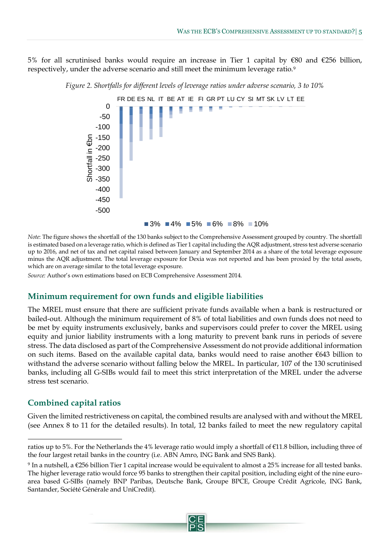5% for all scrutinised banks would require an increase in Tier 1 capital by €80 and €256 billion, respectively, under the adverse scenario and still meet the minimum leverage ratio.<sup>9</sup>



*Figure 2. Shortfalls for different levels of leverage ratios under adverse scenario, 3 to 10%*

*Note*: The figure shows the shortfall of the 130 banks subject to the Comprehensive Assessment grouped by country. The shortfall is estimated based on a leverage ratio, which is defined as Tier 1 capital including the AQR adjustment, stress test adverse scenario up to 2016, and net of tax and net capital raised between January and September 2014 as a share of the total leverage exposure minus the AQR adjustment. The total leverage exposure for Dexia was not reported and has been proxied by the total assets, which are on average similar to the total leverage exposure.

*Source:* Author's own estimations based on ECB Comprehensive Assessment 2014.

#### **Minimum requirement for own funds and eligible liabilities**

The MREL must ensure that there are sufficient private funds available when a bank is restructured or bailed-out. Although the minimum requirement of 8% of total liabilities and own funds does not need to be met by equity instruments exclusively, banks and supervisors could prefer to cover the MREL using equity and junior liability instruments with a long maturity to prevent bank runs in periods of severe stress. The data disclosed as part of the Comprehensive Assessment do not provide additional information on such items. Based on the available capital data, banks would need to raise another €643 billion to withstand the adverse scenario without falling below the MREL. In particular, 107 of the 130 scrutinised banks, including all G-SIBs would fail to meet this strict interpretation of the MREL under the adverse stress test scenario.

#### **Combined capital ratios**

 $\ddot{\phantom{a}}$ 

Given the limited restrictiveness on capital, the combined results are analysed with and without the MREL (see [Annex 8](#page-15-0) to 11 for the detailed results). In total, 12 banks failed to meet the new regulatory capital

ratios up to 5%. For the Netherlands the 4% leverage ratio would imply a shortfall of €11.8 billion, including three of the four largest retail banks in the country (i.e. ABN Amro, ING Bank and SNS Bank).

<sup>9</sup> In a nutshell, a €256 billion Tier 1 capital increase would be equivalent to almost a 25% increase for all tested banks. The higher leverage ratio would force 95 banks to strengthen their capital position, including eight of the nine euroarea based G-SIBs (namely BNP Paribas, Deutsche Bank, Groupe BPCE, Groupe Crédit Agricole, ING Bank, Santander, Société Générale and UniCredit).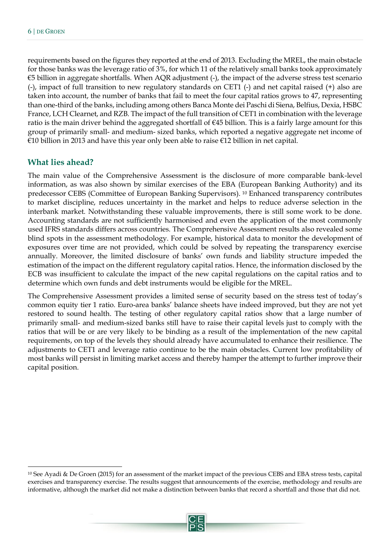requirements based on the figures they reported at the end of 2013. Excluding the MREL, the main obstacle for those banks was the leverage ratio of 3%, for which 11 of the relatively small banks took approximately €5 billion in aggregate shortfalls. When AQR adjustment (-), the impact of the adverse stress test scenario (-), impact of full transition to new regulatory standards on CET1 (-) and net capital raised (+) also are taken into account, the number of banks that fail to meet the four capital ratios grows to 47, representing than one-third of the banks, including among others Banca Monte dei Paschi di Siena, Belfius, Dexia, HSBC France, LCH Clearnet, and RZB. The impact of the full transition of CET1 in combination with the leverage ratio is the main driver behind the aggregated shortfall of €45 billion. This is a fairly large amount for this group of primarily small- and medium- sized banks, which reported a negative aggregate net income of €10 billion in 2013 and have this year only been able to raise €12 billion in net capital.

#### **What lies ahead?**

 $\ddot{\phantom{a}}$ 

The main value of the Comprehensive Assessment is the disclosure of more comparable bank-level information, as was also shown by similar exercises of the EBA (European Banking Authority) and its predecessor CEBS (Committee of European Banking Supervisors). <sup>10</sup> Enhanced transparency contributes to market discipline, reduces uncertainty in the market and helps to reduce adverse selection in the interbank market. Notwithstanding these valuable improvements, there is still some work to be done. Accounting standards are not sufficiently harmonised and even the application of the most commonly used IFRS standards differs across countries. The Comprehensive Assessment results also revealed some blind spots in the assessment methodology. For example, historical data to monitor the development of exposures over time are not provided, which could be solved by repeating the transparency exercise annually. Moreover, the limited disclosure of banks' own funds and liability structure impeded the estimation of the impact on the different regulatory capital ratios. Hence, the information disclosed by the ECB was insufficient to calculate the impact of the new capital regulations on the capital ratios and to determine which own funds and debt instruments would be eligible for the MREL.

The Comprehensive Assessment provides a limited sense of security based on the stress test of today's common equity tier 1 ratio. Euro-area banks' balance sheets have indeed improved, but they are not yet restored to sound health. The testing of other regulatory capital ratios show that a large number of primarily small- and medium-sized banks still have to raise their capital levels just to comply with the ratios that will be or are very likely to be binding as a result of the implementation of the new capital requirements, on top of the levels they should already have accumulated to enhance their resilience. The adjustments to CET1 and leverage ratio continue to be the main obstacles. Current low profitability of most banks will persist in limiting market access and thereby hamper the attempt to further improve their capital position.

<sup>10</sup> See Ayadi & De Groen (2015) for an assessment of the market impact of the previous CEBS and EBA stress tests, capital exercises and transparency exercise. The results suggest that announcements of the exercise, methodology and results are informative, although the market did not make a distinction between banks that record a shortfall and those that did not.

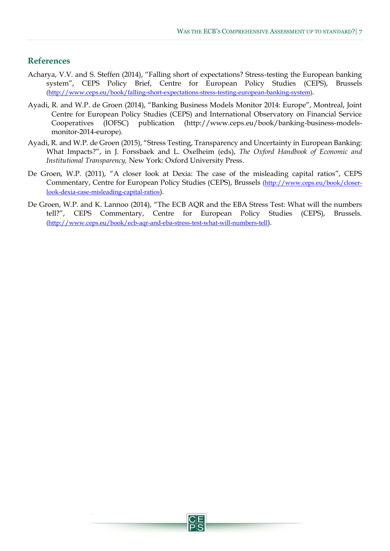#### **References**

- Acharya, V.V. and S. Steffen (2014), "Falling short of expectations? Stress-testing the European banking system", CEPS Policy Brief, Centre for European Policy Studies (CEPS), Brussels [\(http://www.ceps.eu/book/falling-short-expectations-stress-testing-european-banking-system\)](http://www.ceps.eu/book/falling-short-expectations-stress-testing-european-banking-system).
- Ayadi, R. and W.P. de Groen (2014), "Banking Business Models Monitor 2014: Europe", Montreal, Joint Centre for European Policy Studies (CEPS) and International Observatory on Financial Service Cooperatives (IOFSC) publication [\(http://www.ceps.eu/book/banking-business-models](http://www.ceps.eu/book/banking-business-models-monitor-2014-europe)[monitor-2014-europe](http://www.ceps.eu/book/banking-business-models-monitor-2014-europe)).
- Ayadi, R. and W.P. de Groen (2015), "Stress Testing, Transparency and Uncertainty in European Banking: What Impacts?", in J. Forssbaek and L. Oxelheim (eds), *The Oxford Handbook of Economic and Institutional Transparency,* New York: Oxford University Press.
- De Groen, W.P. (2011), "A closer look at Dexia: The case of the misleading capital ratios", CEPS Commentary, Centre for European Policy Studies (CEPS), Brussels [\(http://www.ceps.eu/book/closer](http://www.ceps.eu/book/closer-look-dexia-case-misleading-capital-ratios)[look-dexia-case-misleading-capital-ratios](http://www.ceps.eu/book/closer-look-dexia-case-misleading-capital-ratios)).
- De Groen, W.P. and K. Lannoo (2014), "The ECB AQR and the EBA Stress Test: What will the numbers tell?", CEPS Commentary, Centre for European Policy Studies (CEPS), Brussels. [\(http://www.ceps.eu/book/ecb-aqr-and-eba-stress-test-what-will-numbers-tell](http://www.ceps.eu/book/ecb-aqr-and-eba-stress-test-what-will-numbers-tell)).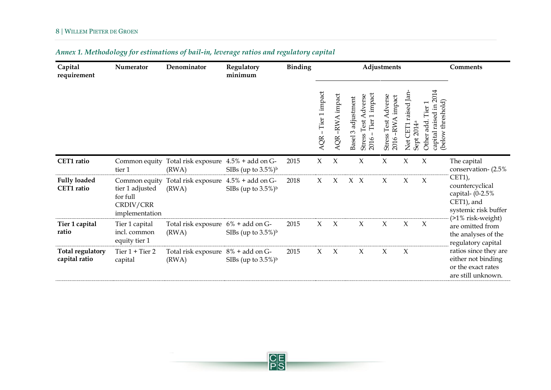<span id="page-7-0"></span>

| Capital<br>requirement                   | Numerator                                                  | Denominator                                                 | Regulatory<br>minimum              | <b>Binding</b> |                       |                     |                          |                                                                        | Adjustments                                             |                                                                            |                                                                         | Comments                                                                                 |
|------------------------------------------|------------------------------------------------------------|-------------------------------------------------------------|------------------------------------|----------------|-----------------------|---------------------|--------------------------|------------------------------------------------------------------------|---------------------------------------------------------|----------------------------------------------------------------------------|-------------------------------------------------------------------------|------------------------------------------------------------------------------------------|
|                                          |                                                            |                                                             |                                    |                | Tier 1 impact<br>AQR- | -RWA impact<br>QR   | adjustment<br>3<br>Basel | impact<br>dverse<br>Tier <sub>1</sub><br>Test<br><b>Stress</b><br>2016 | Adverse<br>impact<br>-RWA<br><b>Stress Test</b><br>2016 | raised Jan-<br>2014 <sup>a</sup><br><b>CET</b><br>Sept<br>Net <sub>i</sub> | capital raised in 2014<br>threshold)<br>Tier<br>add.<br>(below<br>Other |                                                                                          |
| CET1 ratio                               | Common equity<br>tier 1                                    | Total risk exposure 4.5% + add on G-<br>(RWA)               | SIBs (up to $3.5\%$ ) <sup>b</sup> | 2015           | $\chi$                | $\boldsymbol{\chi}$ |                          | $\chi$                                                                 | X                                                       | X                                                                          | $\chi$                                                                  | The capital<br>conservation- (2.5%)                                                      |
| <b>Fully loaded</b><br>CET1 ratio        | tier 1 adjusted<br>for full<br>CRDIV/CRR<br>implementation | Common equity Total risk exposure 4.5% + add on G-<br>(RWA) | SIBs (up to $3.5\%$ ) <sup>b</sup> | 2018           | $\chi$                | X                   | $X \ X$                  |                                                                        | $\chi$                                                  | X                                                                          | $\chi$                                                                  | $CET1$ ),<br>countercyclical<br>capital- $(0-2.5%$<br>CET1), and<br>systemic risk buffer |
| Tier 1 capital<br>ratio                  | Tier 1 capital<br>incl. common<br>equity tier 1            | Total risk exposure $6\%$ + add on G-<br>(RWA)              | SIBs (up to $3.5\%$ ) <sup>b</sup> | 2015           | $\chi$                | $\mathbf{X}$        |                          | $\chi$                                                                 | X                                                       | $\chi$                                                                     | $\chi$                                                                  | $(21\%$ risk-weight)<br>are omitted from<br>the analyses of the<br>regulatory capital    |
| <b>Total regulatory</b><br>capital ratio | Tier $1 +$ Tier $2$<br>capital                             | Total risk exposure 8% + add on G-<br>(RWA)                 | SIBs (up to $3.5\%$ ) <sup>b</sup> | 2015           | X                     | $\chi$              |                          | $\chi$                                                                 | $\chi$                                                  | $\chi$                                                                     |                                                                         | ratios since they are<br>either not binding<br>or the exact rates<br>are still unknown.  |

# <span id="page-7-1"></span>*Annex 1. Methodology for estimations of bail-in, leverage ratios and regulatory capital*

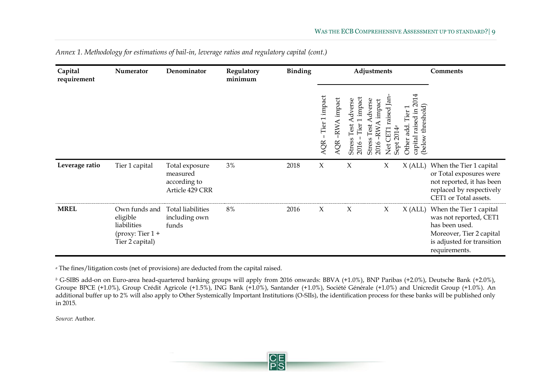| Capital<br>requirement | Numerator                                                                         | Denominator                                                   | Regulatory<br>minimum | <b>Binding</b> | Adjustments          |                       |                                                    | <b>Comments</b>                                     |                                                    |                                                                                    |                                                                                                                                                |
|------------------------|-----------------------------------------------------------------------------------|---------------------------------------------------------------|-----------------------|----------------|----------------------|-----------------------|----------------------------------------------------|-----------------------------------------------------|----------------------------------------------------|------------------------------------------------------------------------------------|------------------------------------------------------------------------------------------------------------------------------------------------|
|                        |                                                                                   |                                                               |                       |                | Tier 1 impact<br>AQR | impact<br>-RWA<br>AQR | impact<br>dverse<br>Test<br>Tier<br>Stress<br>2016 | $d$ verse<br>impact<br>Test<br>RW<br>Stress<br>2016 | raised Jan<br>日<br>$\overline{201}$<br>Sept<br>Net | 2014<br>threshold)<br>$\Xi$<br>Tier<br>raised<br>add<br>capital<br>(below<br>Other |                                                                                                                                                |
| Leverage ratio         | Tier 1 capital                                                                    | Total exposure<br>measured<br>according to<br>Article 429 CRR | $3\%$                 | 2018           | $\chi$               |                       | $\chi$                                             |                                                     | X                                                  | X (ALL)                                                                            | When the Tier 1 capital<br>or Total exposures were<br>not reported, it has been<br>replaced by respectively<br>CET1 or Total assets.           |
| <b>MREL</b>            | Own funds and<br>eligible<br>liabilities<br>(proxy: Tier $1 +$<br>Tier 2 capital) | <b>Total liabilities</b><br>including own<br>funds            | 8%                    | 2016           | $\chi$               |                       | X                                                  |                                                     | $\chi$                                             | $X$ (ALL)                                                                          | When the Tier 1 capital<br>was not reported, CET1<br>has been used.<br>Moreover, Tier 2 capital<br>is adjusted for transition<br>requirements. |

*Annex 1. [Methodology for estimations of bail-in, leverage ratios and regulatory capital](#page-7-1) (cont.)*

*<sup>a</sup>* The fines/litigation costs (net of provisions) are deducted from the capital raised.

*<sup>b</sup>* G-SIBS add-on on Euro-area head-quartered banking groups will apply from 2016 onwards: BBVA (+1.0%), BNP Paribas (+2.0%), Deutsche Bank (+2.0%), Groupe BPCE (+1.0%), Group Crédit Agricole (+1.5%), ING Bank (+1.0%), Santander (+1.0%), Société Générale (+1.0%) and Unicredit Group (+1.0%). An additional buffer up to 2% will also apply to Other Systemically Important Institutions (O-SIIs), the identification process for these banks will be published only in 2015.

*Source*: Author.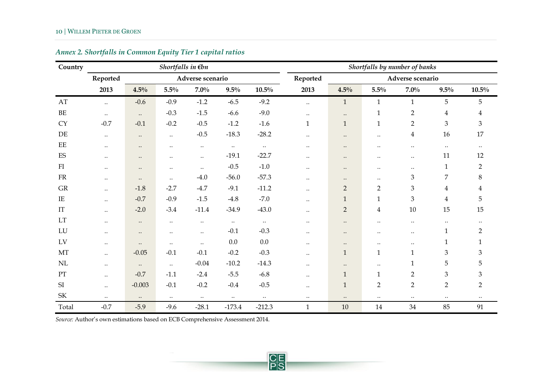| Country                           |              |              | Shortfalls in $\not\in b$ n |                  |           |           |              |                  |                         | Shortfalls by number of banks |                         |                |
|-----------------------------------|--------------|--------------|-----------------------------|------------------|-----------|-----------|--------------|------------------|-------------------------|-------------------------------|-------------------------|----------------|
|                                   | Reported     |              |                             | Adverse scenario |           |           | Reported     |                  |                         | Adverse scenario              |                         |                |
|                                   | 2013         | 4.5%         | $5.5\%$                     | $7.0\%$          | $9.5\%$   | $10.5\%$  | 2013         | 4.5%             | $5.5\%$                 | $7.0\%$                       | $9.5\%$                 | $10.5\%$       |
| AT                                | $\ldots$     | $-0.6$       | $-0.9$                      | $-1.2$           | $-6.5$    | $-9.2$    | $\ldots$     | $\mathbf{1}$     | $\mathbf{1}$            | $\mathbf{1}$                  | 5                       | 5              |
| $\rm BE$                          | $\ddotsc$    | $\ddotsc$    | $-0.3$                      | $-1.5$           | $-6.6$    | $-9.0$    | $\ddotsc$    | $\ddotsc$        | $\mathbf{1}$            | $\overline{2}$                | $\overline{\mathbf{4}}$ | $\overline{4}$ |
| <b>CY</b>                         | $-0.7$       | $-0.1$       | $-0.2$                      | $-0.5$           | $-1.2$    | $-1.6$    | $\mathbf{1}$ | $\mathbf{1}$     | $\mathbf{1}$            | $\overline{2}$                | 3                       | $\mathfrak{Z}$ |
| $\rm{DE}$                         | $\ldots$     | $\ddotsc$    | $\ddotsc$                   | $-0.5$           | $-18.3$   | $-28.2$   | $\ddotsc$    | $\ddotsc$        | $\ddotsc$               | $\overline{4}$                | 16                      | $17\,$         |
| $\rm EE$                          | $\cdot\cdot$ | $\bullet$ .  | $\ddotsc$                   | $\ddotsc$        | $\ldots$  | $\ldots$  | $\ddotsc$    | $\bullet\bullet$ | $\ddotsc$               | $\cdot$ .                     | $\ddotsc$               | $\ddotsc$      |
| ES                                | $\cdot\cdot$ | $\cdot\cdot$ | $\ddotsc$                   | $\ddotsc$        | $-19.1$   | $-22.7$   | $\ddotsc$    | $\bullet\bullet$ | $\ddotsc$               | $\ddotsc$                     | $11\,$                  | 12             |
| FI                                | $\ddotsc$    | $\bullet$ .  | $\ddotsc$                   | $\ddotsc$        | $-0.5$    | $-1.0$    | $\ddotsc$    | $\bullet\bullet$ | $\ddotsc$               | $\cdot$ .                     | $\mathbf{1}$            | $\overline{2}$ |
| ${\rm FR}$                        | $\ddotsc$    | $\ddotsc$    | $\ddotsc$                   | $-4.0$           | $-56.0$   | $-57.3$   | $\ddotsc$    | $\cdot\cdot$     | $\ddotsc$               | 3                             | $\overline{7}$          | 8              |
| GR                                | $\ddotsc$    | $-1.8$       | $-2.7$                      | $-4.7$           | $-9.1$    | $-11.2$   | $\ddotsc$    | $\overline{2}$   | $\overline{2}$          | 3                             | $\overline{4}$          | $\overline{4}$ |
| IE                                | $\ddotsc$    | $-0.7$       | $-0.9$                      | $-1.5$           | $-4.8$    | $-7.0$    | $\ddotsc$    | $\mathbf{1}$     | $\mathbf{1}$            | 3                             | $\overline{4}$          | 5              |
| IT                                | $\cdot\cdot$ | $-2.0$       | $-3.4$                      | $-11.4$          | $-34.9$   | $-43.0$   | $\ddotsc$    | $\overline{2}$   | $\overline{\mathbf{4}}$ | $10\,$                        | 15                      | $15\,$         |
| LT                                | $\ddotsc$    | $\ddotsc$    | $\ddotsc$                   | $\ddotsc$        | $\ldots$  | $\ldots$  | $\ddotsc$    | $\bullet\bullet$ | $\ddotsc$               | $\ddotsc$                     | $\ddotsc$               |                |
| ${\rm LU}$                        | $\ddotsc$    | $\ddotsc$    | $\ddotsc$                   | $\ddotsc$        | $-0.1$    | $-0.3$    | $\ddotsc$    | $\cdot\cdot$     | $\ddotsc$               | $\ddotsc$                     | $\mathbf{1}$            | $\overline{2}$ |
| LV                                | $\ldots$     | $\cdot\cdot$ | $\ddotsc$                   | $\ddotsc$        | $0.0\,$   | 0.0       | $\ddotsc$    | $\ddotsc$        | $\ddotsc$               | $\ddotsc$                     | 1                       | $\mathbf{1}$   |
| MT                                | $\ddotsc$    | $-0.05$      | $-0.1$                      | $-0.1$           | $-0.2$    | $-0.3$    | $\ddotsc$    | $\mathbf{1}$     | $\mathbf{1}$            | $\mathbf{1}$                  | 3                       | $\mathfrak{Z}$ |
| NL                                | $\ddotsc$    | $\ldots$     | $\ddotsc$                   | $-0.04$          | $-10.2$   | $-14.3$   | $\ddotsc$    | $\ddotsc$        | $\ddotsc$               | $\mathbf{1}$                  | 5                       | 5              |
| PT                                | $\ddotsc$    | $-0.7$       | $-1.1$                      | $-2.4$           | $-5.5$    | $-6.8$    | $\ddotsc$    | $\mathbf{1}$     | $\mathbf{1}$            | $\overline{2}$                | $\mathfrak{Z}$          | $\mathfrak{Z}$ |
| SI                                | $\ddotsc$    | $-0.003$     | $-0.1$                      | $-0.2$           | $-0.4$    | $-0.5$    | $\ddotsc$    | $\mathbf{1}$     | $\overline{2}$          | $\overline{2}$                | $\overline{2}$          | $\overline{2}$ |
| $\ensuremath{\mathsf{SK}}\xspace$ | $\ldots$     | $\ddotsc$    | $\ddotsc$                   | $\ldots$         | $\ddotsc$ | $\ddotsc$ | $\ddotsc$    | $\ddotsc$        | $\ddotsc$               | $\ddotsc$                     | $\ldots$                | $\ddotsc$      |
| Total                             | $-0.7$       | $-5.9$       | $-9.6$                      | $-28.1$          | $-173.4$  | $-212.3$  | $\mathbf{1}$ | 10               | $14\,$                  | 34                            | 85                      | 91             |

## *Annex 2. Shortfalls in Common Equity Tier 1 capital ratios*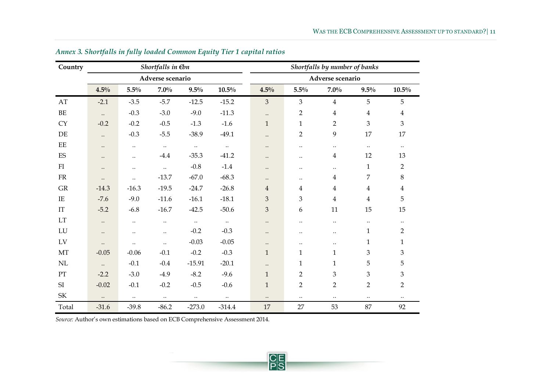| Country                           |           |           | Shortfalls in $\not\in b$ n |           |           |                |                | Shortfalls by number of banks |                         |                |
|-----------------------------------|-----------|-----------|-----------------------------|-----------|-----------|----------------|----------------|-------------------------------|-------------------------|----------------|
|                                   |           |           | Adverse scenario            |           |           |                |                | Adverse scenario              |                         |                |
|                                   | 4.5%      | 5.5%      | $7.0\%$                     | $9.5\%$   | $10.5\%$  | 4.5%           | $5.5\%$        | $7.0\%$                       | $9.5\%$                 | $10.5\%$       |
| AT                                | $-2.1$    | $-3.5$    | $-5.7$                      | $-12.5$   | $-15.2$   | $\overline{3}$ | $\mathfrak{Z}$ | $\overline{4}$                | 5                       | $\sqrt{5}$     |
| $\rm BE$                          | $\ldots$  | $-0.3$    | $-3.0$                      | $-9.0$    | $-11.3$   | $\ddotsc$      | $\overline{2}$ | $\overline{4}$                | $\overline{\mathbf{4}}$ | $\overline{4}$ |
| <b>CY</b>                         | $-0.2$    | $-0.2$    | $-0.5$                      | $-1.3$    | $-1.6$    | $1\,$          | $\mathbf{1}$   | $\overline{2}$                | $\overline{3}$          | $\overline{3}$ |
| DE                                | $\ldots$  | $-0.3$    | $-5.5$                      | $-38.9$   | $-49.1$   | $\ddotsc$      | $\overline{2}$ | 9                             | 17                      | 17             |
| $\rm EE$                          | $\ldots$  | $\ddotsc$ | $\ddots$                    | $\ddots$  | $\ddotsc$ | $\ddotsc$      | $\ddotsc$      | $\ddotsc$                     | $\ldots$                | $\ddotsc$      |
| ES                                | $\ddotsc$ | $\ddotsc$ | $-4.4$                      | $-35.3$   | $-41.2$   | $\ddotsc$      | $\ddotsc$      | $\overline{4}$                | 12                      | 13             |
| FI                                | $\ddotsc$ | $\ldots$  | $\ddots$                    | $-0.8$    | $-1.4$    | $\ddotsc$      |                | $\ddotsc$                     | $\mathbf{1}$            | $\overline{2}$ |
| ${\rm FR}$                        | $\ddotsc$ | $\ddotsc$ | $-13.7$                     | $-67.0$   | $-68.3$   | $\ddotsc$      | $\ddotsc$      | $\overline{4}$                | 7                       | 8              |
| ${\rm GR}$                        | $-14.3$   | $-16.3$   | $-19.5$                     | $-24.7$   | $-26.8$   | $\overline{4}$ | $\overline{4}$ | $\overline{4}$                | $\overline{4}$          | $\overline{4}$ |
| $\rm IE$                          | $-7.6$    | $-9.0$    | $-11.6$                     | $-16.1$   | $-18.1$   | 3              | 3              | $\overline{4}$                | $\overline{4}$          | 5              |
| $\mathop{\mathrm{IT}}$            | $-5.2$    | $-6.8$    | $-16.7$                     | $-42.5$   | $-50.6$   | 3              | 6              | 11                            | 15                      | 15             |
| $\mathop{\rm LT}\nolimits$        | $\ldots$  | $\ddotsc$ | $\ddotsc$                   | $\ddotsc$ | $\ddotsc$ | $\ddotsc$      | $\ddotsc$      | $\ldots$                      | $\ddotsc$               | $\ddotsc$      |
| LU                                | $\ddotsc$ | $\ddotsc$ | $\ddotsc$                   | $-0.2$    | $-0.3$    | $\ddotsc$      | $\ddotsc$      | $\ldots$                      | $\mathbf{1}$            | $\overline{2}$ |
| LV                                | $\ddotsc$ | $\ddotsc$ | $\ddotsc$                   | $-0.03$   | $-0.05$   | $\ddotsc$      | $\ddotsc$      | $\ddotsc$                     | $\mathbf{1}$            | $\mathbf{1}$   |
| MT                                | $-0.05$   | $-0.06$   | $-0.1$                      | $-0.2$    | $-0.3$    | $\mathbf{1}$   | $\mathbf{1}$   | $\mathbf{1}$                  | $\mathfrak{Z}$          | $\mathfrak{Z}$ |
| $\mbox{NL}$                       | $\ddotsc$ | $-0.1$    | $-0.4$                      | $-15.91$  | $-20.1$   | $\ddotsc$      | $\mathbf{1}$   | $\mathbf{1}$                  | $\mathbf 5$             | 5              |
| PT                                | $-2.2$    | $-3.0$    | $-4.9$                      | $-8.2$    | $-9.6$    | $\mathbf{1}$   | $\overline{2}$ | 3                             | $\mathfrak{Z}$          | 3              |
| SI                                | $-0.02$   | $-0.1$    | $-0.2$                      | $-0.5$    | $-0.6$    | $\mathbf{1}$   | $\overline{2}$ | $\overline{2}$                | $\overline{2}$          | $\overline{2}$ |
| $\ensuremath{\mathsf{SK}}\xspace$ | $\ddots$  | $\ddotsc$ | $\ddots$                    | $\ddotsc$ | $\ddotsc$ | $\ldots$       | $\ddotsc$      | $\ddotsc$                     | $\ddotsc$               | $\ddotsc$      |
| Total                             | $-31.6$   | $-39.8$   | $-86.2$                     | $-273.0$  | $-314.4$  | 17             | 27             | 53                            | 87                      | 92             |

## *Annex 3. Shortfalls in fully loaded Common Equity Tier 1 capital ratios*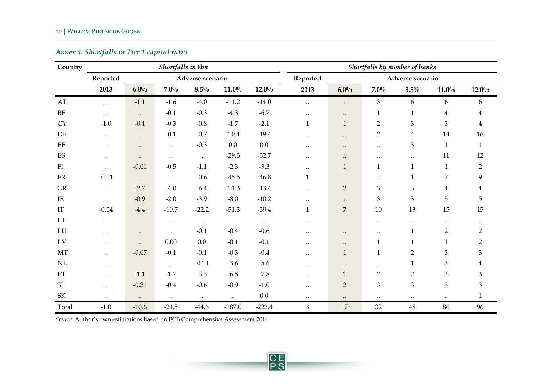## *Annex 4. Shortfalls in Tier 1 capital ratio*

| Country                           |           |           | Shortfalls in $\not\in b$ n |                  |           |          |              |                | Shortfalls by number of banks |                  |                |                |
|-----------------------------------|-----------|-----------|-----------------------------|------------------|-----------|----------|--------------|----------------|-------------------------------|------------------|----------------|----------------|
|                                   | Reported  |           |                             | Adverse scenario |           |          | Reported     |                |                               | Adverse scenario |                |                |
|                                   | 2013      | $6.0\%$   | $7.0\%$                     | $8.5\%$          | $11.0\%$  | $12.0\%$ | 2013         | 6.0%           | $7.0\%$                       | $8.5\%$          | $11.0\%$       | $12.0\%$       |
| AT                                | $\ddots$  | $-1.1$    | $-1.6$                      | $-4.0$           | $-11.2$   | $-14.0$  | $\ddotsc$    | $\mathbf{1}$   | 3                             | 6                | 6              | 6              |
| $\rm BE$                          | $\ddotsc$ | $\ddotsc$ | $-0.1$                      | $-0.3$           | $-4.3$    | $-6.7$   | $\ddotsc$    | $\ddotsc$      | $\mathbf{1}$                  | $\mathbf{1}$     | $\overline{4}$ | $\overline{4}$ |
| <b>CY</b>                         | $-1.0$    | $-0.1$    | $-0.3$                      | $-0.8$           | $-1.7$    | $-2.1$   | $\mathbf{1}$ | $\mathbf{1}$   | $\overline{2}$                | 3                | 3              | $\overline{4}$ |
| DE                                | $\ddotsc$ | $\ddotsc$ | $-0.1$                      | $-0.7$           | $-10.4$   | $-19.4$  | $\ddotsc$    | $\ddotsc$      | $\overline{2}$                | $\overline{4}$   | 14             | 16             |
| $\rm{EE}$                         | $\ddotsc$ | $\ddotsc$ | $\ldots$                    | $-0.3$           | 0.0       | 0.0      | $\ddotsc$    | $\ddotsc$      | $\ddotsc$                     | 3                | $\mathbf{1}$   | $\mathbf{1}$   |
| $\mathop{\hbox{\rm ES}}$          | $\ddotsc$ | $\ddotsc$ | $\ldots$                    | $\ddots$         | $-29.3$   | $-32.7$  | $\ddotsc$    | $\ddotsc$      | $\ddotsc$                     | $\ldots$         | 11             | 12             |
| FI                                | $\ddotsc$ | $-0.01$   | $-0.5$                      | $-1.1$           | $-2.3$    | $-3.3$   | $\ddotsc$    | $\mathbf{1}$   | $\mathbf{1}$                  | $\mathbf{1}$     | $\mathbf{1}$   | $\overline{2}$ |
| ${\rm FR}$                        | $-0.01$   | $\ddots$  | $\ddotsc$                   | $-0.6$           | $-45.5$   | $-46.8$  | $\mathbf{1}$ | $\ddotsc$      | $\ddotsc$                     | $\mathbf{1}$     | $\overline{7}$ | 9              |
| GR                                | $\ddotsc$ | $-2.7$    | $-4.0$                      | $-6.4$           | $-11.3$   | $-13.4$  | $\ddotsc$    | $\overline{2}$ | $\ensuremath{\mathfrak{Z}}$   | 3                | $\overline{4}$ | $\overline{4}$ |
| IE                                | $\ddotsc$ | $-0.9$    | $-2.0$                      | $-3.9$           | $-8.0$    | $-10.2$  | $\ddotsc$    | $\mathbf{1}$   | 3                             | 3                | 5              | 5              |
| $\mathop{\mathrm{IT}}$            | $-0.04$   | $-4.4$    | $-10.7$                     | $-22.2$          | $-51.3$   | $-59.4$  | $\mathbf{1}$ | $\overline{7}$ | 10                            | 13               | 15             | 15             |
| LT                                | $\ldots$  | $\ddotsc$ | $\ldots$                    | $\ldots$         | $\ddotsc$ | $\ldots$ | $\ddotsc$    | $\ddotsc$      | $\ddotsc$                     | $\ddotsc$        | $\ddotsc$      |                |
| LU                                | $\ddotsc$ | $\ddotsc$ | $\ddotsc$                   | $-0.1$           | $-0.4$    | $-0.6$   | $\ddotsc$    | $\ddotsc$      | $\cdot\cdot$                  | $\mathbf{1}$     | $\overline{2}$ | $\overline{2}$ |
| LV                                | $\ddotsc$ | $\ddotsc$ | $0.00\,$                    | $0.0\,$          | $-0.1$    | $-0.1$   | $\ddotsc$    | $\ddotsc$      | $\mathbf 1$                   | $\mathbf{1}$     | $\mathbf{1}$   | $\overline{2}$ |
| MT                                | $\ddotsc$ | $-0.07$   | $-0.1$                      | $-0.1$           | $-0.3$    | $-0.4$   | $\ddotsc$    | $\mathbf{1}$   | $\mathbf 1$                   | $\overline{2}$   | 3              | 3              |
| $\rm NL$                          | $\ddotsc$ | $\ddotsc$ | $\ddotsc$                   | $-0.14$          | $-3.6$    | $-5.6$   | $\ddotsc$    | $\ddotsc$      | $\ddotsc$                     | $\mathbf{1}$     | 3              | $\overline{4}$ |
| PT                                | $\ddotsc$ | $-1.1$    | $-1.7$                      | $-3.3$           | $-6.5$    | $-7.8$   | $\ddotsc$    | $\mathbf{1}$   | $\overline{2}$                | $\overline{2}$   | 3              | 3              |
| SI                                | $\ddotsc$ | $-0.31$   | $-0.4$                      | $-0.6$           | $-0.9$    | $-1.0$   | $\ddotsc$    | $\overline{2}$ | $\mathfrak{Z}$                | 3                | 3              | 3              |
| $\ensuremath{\mathsf{SK}}\xspace$ | $\ldots$  | $\ldots$  | $\ldots$                    | $\ddotsc$        | $\ldots$  | 0.0      | $\ldots$     | $\ddotsc$      | $\ddotsc$                     | $\ddotsc$        | $\ddotsc$      | $\mathbf{1}$   |
| Total                             | $-1.0$    | $-10.6$   | $-21.5$                     | $-44.6$          | $-187.0$  | $-223.4$ | 3            | 17             | 32                            | $\sqrt{48}$      | 86             | 96             |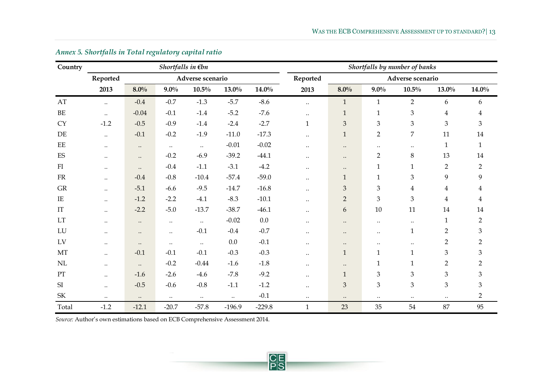| Country                           |           |           | Shortfalls in $\not\in b$ n |                  |          |          |              |                             |                | Shortfalls by number of banks |                |                |
|-----------------------------------|-----------|-----------|-----------------------------|------------------|----------|----------|--------------|-----------------------------|----------------|-------------------------------|----------------|----------------|
|                                   | Reported  |           |                             | Adverse scenario |          |          | Reported     |                             |                | Adverse scenario              |                |                |
|                                   | 2013      | 8.0%      | $9.0\%$                     | $10.5\%$         | $13.0\%$ | $14.0\%$ | 2013         | 8.0%                        | $9.0\%$        | $10.5\%$                      | $13.0\%$       | $14.0\%$       |
| $\mathbf{A}\mathbf{T}$            | $\ddots$  | $-0.4$    | $-0.7$                      | $-1.3$           | $-5.7$   | $-8.6$   | $\ddotsc$    | $\mathbf{1}$                | $\mathbf{1}$   | $\overline{2}$                | 6              | 6              |
| $\rm BE$                          | $\ddotsc$ | $-0.04$   | $-0.1$                      | $-1.4$           | $-5.2$   | $-7.6$   | $\ddotsc$    | $\mathbf{1}$                | $\mathbf{1}$   | 3                             | $\overline{4}$ | $\overline{4}$ |
| <b>CY</b>                         | $-1.2$    | $-0.5$    | $-0.9$                      | $-1.4$           | $-2.4$   | $-2.7$   | $\mathbf{1}$ | $\ensuremath{\mathbf{3}}$   | $\mathfrak{Z}$ | 3                             | 3              | $\mathfrak{Z}$ |
| DE                                | $\ddotsc$ | $-0.1$    | $-0.2$                      | $-1.9$           | $-11.0$  | $-17.3$  | $\ddotsc$    | $\mathbf{1}$                | $\overline{2}$ | 7                             | 11             | 14             |
| EE                                | $\ddotsc$ | $\ddotsc$ | $\ldots$                    | $\ddotsc$        | $-0.01$  | $-0.02$  | $\cdot\cdot$ | $\ddotsc$                   | $\ddotsc$      | $\ldots$                      | $\mathbf{1}$   | $\mathbf{1}$   |
| ${\rm ES}$                        | $\ddotsc$ | $\ddotsc$ | $-0.2$                      | $-6.9$           | $-39.2$  | $-44.1$  | $\ddotsc$    | $\bullet\bullet$            | $\overline{2}$ | $\,8\,$                       | 13             | $14\,$         |
| $\rm{FI}$                         | $\ddotsc$ | $\ddotsc$ | $-0.4$                      | $-1.1$           | $-3.1$   | $-4.2$   | $\cdot\cdot$ | $\bullet\bullet$            | $\mathbf{1}$   | $\mathbf{1}$                  | $\overline{2}$ | $\overline{2}$ |
| ${\rm FR}$                        | $\ddotsc$ | $-0.4$    | $-0.8$                      | $-10.4$          | $-57.4$  | $-59.0$  | $\ddotsc$    | $\mathbf{1}$                | $\mathbf{1}$   | 3                             | 9              | 9              |
| GR                                | $\ddotsc$ | $-5.1$    | $-6.6$                      | $-9.5$           | $-14.7$  | $-16.8$  | $\cdot\cdot$ | $\ensuremath{\mathbf{3}}$   | $\mathfrak{Z}$ | $\overline{4}$                | $\overline{4}$ | $\overline{4}$ |
| $\rm IE$                          | $\ddotsc$ | $-1.2$    | $-2.2$                      | $-4.1$           | $-8.3$   | $-10.1$  | $\ddotsc$    | $\sqrt{2}$                  | $\mathfrak{Z}$ | 3                             | $\overline{4}$ | $\overline{4}$ |
| IT                                | $\ddotsc$ | $-2.2$    | $-5.0$                      | $-13.7$          | $-38.7$  | $-46.1$  | $\ddotsc$    | 6                           | $10\,$         | 11                            | 14             | 14             |
| LT                                | $\ddotsc$ | $\ddotsc$ | $\ddotsc$                   | $\ddotsc$        | $-0.02$  | $0.0\,$  | $\ddotsc$    | $\ddotsc$                   | $\ddotsc$      | $\ddotsc$                     | $\mathbf{1}$   | $\overline{2}$ |
| LU                                | $\ddotsc$ | $\ddotsc$ | $\ddotsc$                   | $-0.1$           | $-0.4$   | $-0.7$   | $\ddotsc$    | $\cdot\cdot$                | $\ddotsc$      | $\mathbf{1}$                  | $\overline{2}$ | $\mathfrak{B}$ |
| LV                                | $\ddotsc$ | $\ddotsc$ | $\ddotsc$                   | $\ddots$         | 0.0      | $-0.1$   | $\ddotsc$    | $\ddotsc$                   | $\ddotsc$      | $\ddotsc$                     | $\overline{2}$ | $\overline{2}$ |
| MT                                | $\ddotsc$ | $-0.1$    | $-0.1$                      | $-0.1$           | $-0.3$   | $-0.3$   | $\ddotsc$    | $\mathbf{1}$                | $\mathbf{1}$   | $\mathbf{1}$                  | 3              | 3              |
| NL                                | $\ddotsc$ | $\ddots$  | $-0.2$                      | $-0.44$          | $-1.6$   | $-1.8$   | $\ddotsc$    | $\ddotsc$                   | $\mathbf{1}$   | $\mathbf{1}$                  | $\overline{2}$ | $\overline{2}$ |
| PT                                | $\ddotsc$ | $-1.6$    | $-2.6$                      | $-4.6$           | $-7.8$   | $-9.2$   | $\ddotsc$    | $\mathbf{1}$                | $\mathfrak{Z}$ | 3                             | $\mathfrak{Z}$ | 3              |
| SI                                | $\ddotsc$ | $-0.5$    | $-0.6$                      | $-0.8$           | $-1.1$   | $-1.2$   | $\ddotsc$    | $\ensuremath{\mathfrak{Z}}$ | $\,3$          | 3                             | $\mathfrak{Z}$ | $\mathfrak{Z}$ |
| $\ensuremath{\mathsf{SK}}\xspace$ | $\ldots$  | $\ddotsc$ | $\ldots$                    | $\ldots$         | $\ldots$ | $-0.1$   | $\ldots$     | $\ddotsc$                   | $\ddotsc$      | $\ldots$                      | $\cdots$       | $\overline{2}$ |
| Total                             | $-1.2$    | $-12.1$   | $-20.7$                     | $-57.8$          | $-196.9$ | $-229.8$ | $\mathbf{1}$ | 23                          | 35             | 54                            | 87             | 95             |

## *Annex 5. Shortfalls in Total regulatory capital ratio*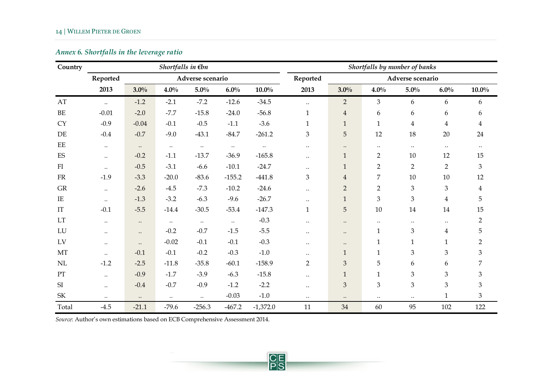## *Annex 6. Shortfalls in the leverage ratio*

| Country                  |           |           | Shortfalls in $\not\in b$ n |                  |           |            |                |                |                | Shortfalls by number of banks |                |                |
|--------------------------|-----------|-----------|-----------------------------|------------------|-----------|------------|----------------|----------------|----------------|-------------------------------|----------------|----------------|
|                          | Reported  |           |                             | Adverse scenario |           |            | Reported       |                |                | Adverse scenario              |                |                |
|                          | 2013      | $3.0\%$   | $4.0\%$                     | $5.0\%$          | $6.0\%$   | $10.0\%$   | 2013           | 3.0%           | $4.0\%$        | $5.0\%$                       | $6.0\%$        | $10.0\%$       |
| AT                       | $\ddots$  | $-1.2$    | $-2.1$                      | $-7.2$           | $-12.6$   | $-34.5$    | $\ddotsc$      | $\overline{2}$ | $\mathfrak{B}$ | 6                             | 6              | 6              |
| $\rm BE$                 | $-0.01$   | $-2.0$    | $-7.7$                      | $-15.8$          | $-24.0$   | $-56.8$    | $\mathbf{1}$   | $\overline{4}$ | 6              | 6                             | 6              | 6              |
| <b>CY</b>                | $-0.9$    | $-0.04$   | $-0.1$                      | $-0.5$           | $-1.1$    | $-3.6$     | $\mathbf{1}$   | $\mathbf{1}$   | $\mathbf{1}$   | $\overline{4}$                | $\overline{4}$ | $\overline{4}$ |
| DE                       | $-0.4$    | $-0.7$    | $-9.0$                      | $-43.1$          | $-84.7$   | $-261.2$   | $\mathfrak{Z}$ | 5              | 12             | 18                            | 20             | 24             |
| EE                       | $\ddotsc$ | $\ddots$  | $\ddotsc$                   | $\ddotsc$        | $\ddotsc$ | $\ldots$   | $\ddotsc$      | $\ddotsc$      | $\ddotsc$      | $\ddotsc$                     | $\ddotsc$      | $\ddotsc$      |
| ES                       | $\ddotsc$ | $-0.2$    | $-1.1$                      | $-13.7$          | $-36.9$   | $-165.8$   | $\ddotsc$      | $\mathbf{1}$   | $\overline{2}$ | 10                            | 12             | 15             |
| FI                       | $\ddotsc$ | $-0.5$    | $-3.1$                      | $-6.6$           | $-10.1$   | $-24.7$    | $\ddotsc$      | $\mathbf{1}$   | $\overline{2}$ | $\overline{2}$                | $\overline{2}$ | 3              |
| FR                       | $-1.9$    | $-3.3$    | $-20.0$                     | $-83.6$          | $-155.2$  | $-441.8$   | 3              | $\overline{4}$ | $\overline{7}$ | 10                            | $10\,$         | 12             |
| GR                       | $\ddotsc$ | $-2.6$    | $-4.5$                      | $-7.3$           | $-10.2$   | $-24.6$    | $\cdot$ .      | $\overline{2}$ | $\overline{2}$ | $\mathfrak{Z}$                | 3              | $\overline{4}$ |
| IE                       | $\ddotsc$ | $-1.3$    | $-3.2$                      | $-6.3$           | $-9.6$    | $-26.7$    | $\ddotsc$      | $\mathbf{1}$   | $\mathfrak{B}$ | 3                             | $\overline{4}$ | 5              |
| IT                       | $-0.1$    | $-5.5$    | $-14.4$                     | $-30.5$          | $-53.4$   | $-147.3$   | $\mathbf 1$    | 5              | 10             | $14\,$                        | 14             | 15             |
| LT                       | $\ddotsc$ | $\ddotsc$ | $\ddotsc$                   | $\ddots$         | $\ldots$  | $-0.3$     | $\ddotsc$      | $\ddotsc$      | $\ddotsc$      | $\ddotsc$                     | $\ddotsc$      | $\overline{2}$ |
| LU                       | $\ddotsc$ | $\ddotsc$ | $-0.2$                      | $-0.7$           | $-1.5$    | $-5.5$     | $\ddotsc$      | $\ddotsc$      | $\mathbf{1}$   | $\mathfrak{Z}$                | $\overline{4}$ | 5              |
| LV                       | $\ddotsc$ | $\ddotsc$ | $-0.02$                     | $-0.1$           | $-0.1$    | $-0.3$     | $\ddotsc$      | $\ddotsc$      | $\mathbf{1}$   | $\mathbf{1}$                  | $\mathbf{1}$   | $\overline{2}$ |
| MT                       | $\ddotsc$ | $-0.1$    | $-0.1$                      | $-0.2$           | $-0.3$    | $-1.0$     | $\ddotsc$      | $\mathbf{1}$   | $\mathbf{1}$   | 3                             | 3              | 3              |
| $\rm NL$                 | $-1.2$    | $-2.5$    | $-11.8$                     | $-35.8$          | $-60.1$   | $-158.9$   | $\overline{2}$ | 3              | 5              | 6                             | 6              | 7              |
| $\mathcal{P}\mathcal{T}$ | $\ddotsc$ | $-0.9$    | $-1.7$                      | $-3.9$           | $-6.3$    | $-15.8$    | $\ddotsc$      | $\mathbf{1}$   | $\mathbf{1}$   | 3                             | 3              | 3              |
| SI                       | $\ddotsc$ | $-0.4$    | $-0.7$                      | $-0.9$           | $-1.2$    | $-2.2$     | $\ddotsc$      | 3              | $\mathfrak{B}$ | 3                             | 3              | 3              |
| SK                       | $\ddotsc$ | $\ddotsc$ | $\ddots$                    | $\ddotsc$        | $-0.03$   | $-1.0$     | $\ldots$       | $\ddotsc$      | $\ldots$       | $\ldots$                      | $\mathbf{1}$   | 3              |
| Total                    | $-4.5$    | $-21.1$   | $-79.6$                     | $-256.3$         | $-467.2$  | $-1,372.0$ | 11             | 34             | 60             | 95                            | 102            | 122            |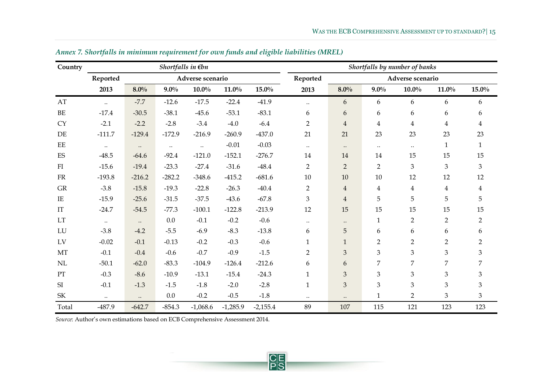| Country                    |           |           | Shortfalls in $\not\in b$ n |                  |            |            |                |                |                         | Shortfalls by number of banks |                |                             |
|----------------------------|-----------|-----------|-----------------------------|------------------|------------|------------|----------------|----------------|-------------------------|-------------------------------|----------------|-----------------------------|
|                            | Reported  |           |                             | Adverse scenario |            |            | Reported       |                |                         | Adverse scenario              |                |                             |
|                            | 2013      | 8.0%      | $9.0\%$                     | $10.0\%$         | $11.0\%$   | $15.0\%$   | 2013           | 8.0%           | $9.0\%$                 | $10.0\%$                      | $11.0\%$       | $15.0\%$                    |
| AT                         | $\ddots$  | $-7.7$    | $-12.6$                     | $-17.5$          | $-22.4$    | $-41.9$    | $\ddotsc$      | 6              | 6                       | 6                             | 6              | 6                           |
| BE                         | $-17.4$   | $-30.5$   | $-38.1$                     | $-45.6$          | $-53.1$    | $-83.1$    | 6              | 6              | 6                       | 6                             | 6              | $\boldsymbol{6}$            |
| <b>CY</b>                  | $-2.1$    | $-2.2$    | $-2.8$                      | $-3.4$           | $-4.0$     | $-6.4$     | $\overline{2}$ | $\overline{4}$ | $\overline{\mathbf{4}}$ | $\overline{4}$                | $\overline{4}$ | $\overline{4}$              |
| DE                         | $-111.7$  | $-129.4$  | $-172.9$                    | $-216.9$         | $-260.9$   | $-437.0$   | 21             | 21             | 23                      | 23                            | 23             | 23                          |
| EE                         | $\ddotsc$ | $\ddotsc$ | $\ddotsc$                   | $\ddots$         | $-0.01$    | $-0.03$    | $\ldots$       | $\ddots$       | $\ddotsc$               | $\ldots$                      | $\mathbf{1}$   | $\mathbf{1}$                |
| ES                         | $-48.5$   | $-64.6$   | $-92.4$                     | $-121.0$         | $-152.1$   | $-276.7$   | 14             | 14             | 14                      | 15                            | 15             | 15                          |
| ${\rm FI}$                 | $-15.6$   | $-19.4$   | $-23.3$                     | $-27.4$          | $-31.6$    | $-48.4$    | $\overline{2}$ | $\overline{2}$ | $\overline{2}$          | $\mathfrak{Z}$                | $\mathfrak{Z}$ | $\mathfrak{Z}$              |
| ${\rm FR}$                 | $-193.8$  | $-216.2$  | $-282.2$                    | $-348.6$         | $-415.2$   | $-681.6$   | $10\,$         | 10             | 10                      | 12                            | 12             | 12                          |
| GR                         | $-3.8$    | $-15.8$   | $-19.3$                     | $-22.8$          | $-26.3$    | $-40.4$    | $\overline{2}$ | $\overline{4}$ | $\overline{\mathbf{4}}$ | $\overline{4}$                | $\overline{4}$ | $\overline{4}$              |
| $\rm IE$                   | $-15.9$   | $-25.6$   | $-31.5$                     | $-37.5$          | $-43.6$    | $-67.8$    | $\mathfrak{Z}$ | $\overline{4}$ | 5                       | 5                             | 5              | 5                           |
| $\rm IT$                   | $-24.7$   | $-54.5$   | $-77.3$                     | $-100.1$         | $-122.8$   | $-213.9$   | 12             | 15             | 15                      | 15                            | 15             | 15                          |
| $\mathop{\rm LT}\nolimits$ | $\ddotsc$ | $\ddots$  | $0.0\,$                     | $-0.1$           | $-0.2$     | $-0.6$     | $\ldots$       | $\ddotsc$      | $\mathbf{1}$            | $\overline{2}$                | $\overline{2}$ | $\overline{2}$              |
| LU                         | $-3.8$    | $-4.2$    | $-5.5$                      | $-6.9$           | $-8.3$     | $-13.8$    | 6              | 5              | 6                       | 6                             | 6              | 6                           |
| LV                         | $-0.02$   | $-0.1$    | $-0.13$                     | $-0.2$           | $-0.3$     | $-0.6$     | $\mathbf{1}$   | $\mathbf{1}$   | $\overline{2}$          | $\overline{2}$                | $\overline{2}$ | $\overline{2}$              |
| MT                         | $-0.1$    | $-0.4$    | $-0.6$                      | $-0.7$           | $-0.9$     | $-1.5$     | $\overline{2}$ | $\mathfrak{B}$ | 3                       | 3                             | $\mathfrak{Z}$ | $\mathfrak{B}$              |
| NL                         | $-50.1$   | $-62.0$   | $-83.3$                     | $-104.9$         | $-126.4$   | $-212.6$   | 6              | 6              | $\overline{7}$          | 7                             | 7              | $\overline{7}$              |
| PT                         | $-0.3$    | $-8.6$    | $-10.9$                     | $-13.1$          | $-15.4$    | $-24.3$    | $\mathbf{1}$   | 3              | 3                       | 3                             | $\mathfrak{Z}$ | $\mathfrak{B}$              |
| SI                         | $-0.1$    | $-1.3$    | $-1.5$                      | $-1.8$           | $-2.0$     | $-2.8$     | $\mathbf{1}$   | 3              | 3                       | 3                             | 3              | $\,3$                       |
| SK                         | $\ldots$  | $\ldots$  | 0.0                         | $-0.2$           | $-0.5$     | $-1.8$     | $\ldots$       | $\ddotsc$      | $\mathbf{1}$            | $\overline{2}$                | 3              | $\ensuremath{\mathfrak{Z}}$ |
| Total                      | $-487.9$  | $-642.7$  | $-854.3$                    | $-1,068.6$       | $-1,285.9$ | $-2,155.4$ | 89             | 107            | 115                     | 121                           | 123            | 123                         |

*Annex 7. Shortfalls in minimum requirement for own funds and eligible liabilities (MREL)*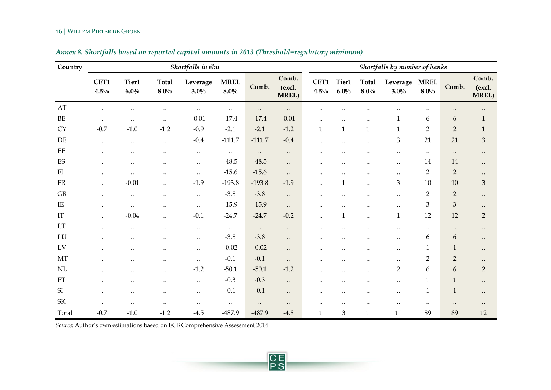<span id="page-15-0"></span>

| Country                           |              |                  |                         | Shortfalls in $\not\in b$ n |                        |           |                                 |                      |                           |                           | Shortfalls by number of banks |                        |                  |                                 |
|-----------------------------------|--------------|------------------|-------------------------|-----------------------------|------------------------|-----------|---------------------------------|----------------------|---------------------------|---------------------------|-------------------------------|------------------------|------------------|---------------------------------|
|                                   | CET1<br>4.5% | Tier1<br>$6.0\%$ | <b>Total</b><br>$8.0\%$ | Leverage<br>$3.0\%$         | <b>MREL</b><br>$8.0\%$ | Comb.     | Comb.<br>(excl.<br><b>MREL)</b> | CET1<br>$4.5\%$      | Tier1<br>$6.0\%$          | <b>Total</b><br>$8.0\%$   | Leverage<br>$3.0\%$           | <b>MREL</b><br>$8.0\%$ | Comb.            | Comb.<br>(excl.<br><b>MREL)</b> |
| AT                                | $\ldots$     | $\ddotsc$        | $\ddotsc$               | $\ldots$                    | $\ldots$               | $\ddotsc$ | $\ddotsc$                       | $\ddotsc$            |                           |                           |                               | $\ddotsc$              | $\ddotsc$        | $\ddotsc$                       |
| BE                                | $\ddotsc$    | $\ddotsc$        | $\ddotsc$               | $-0.01$                     | $-17.4$                | $-17.4$   | $-0.01$                         | $\ddotsc$            | $\ddotsc$                 | $\ddotsc$                 | $\mathbf{1}$                  | 6                      | $\boldsymbol{6}$ | $\mathbf{1}$                    |
| <b>CY</b>                         | $-0.7$       | $-1.0$           | $-1.2$                  | $-0.9$                      | $-2.1$                 | $-2.1$    | $-1.2$                          | $\mathbf{1}$         | $\mathbf{1}$              | $\mathbf{1}$              | $\mathbf{1}$                  | $\overline{2}$         | $\overline{2}$   | $\mathbf{1}$                    |
| DE                                | $\ddotsc$    | $\ldots$         | $\ldots$                | $-0.4$                      | $-111.7$               | $-111.7$  | $-0.4$                          | $\ddotsc$            | $\ddotsc$                 | $\ddotsc$                 | $\mathfrak{Z}$                | 21                     | 21               | $\ensuremath{\mathfrak{Z}}$     |
| $\rm EE$                          | $\ddotsc$    | $\ddotsc$        | $\ddotsc$               | $\ddotsc$                   | $\ddotsc$              | $\ddotsc$ | $\ddotsc$                       | $\ddotsc$            | $\ddotsc$                 |                           | $\ddotsc$                     | $\ddotsc$              | $\ddotsc$        | $\ddotsc$                       |
| ES                                | $\ddotsc$    | $\ddotsc$        | $\ddotsc$               | $\ddotsc$                   | $-48.5$                | $-48.5$   | $\ddotsc$                       | $\ddotsc$            |                           |                           | $\ddotsc$                     | 14                     | 14               | $\ddotsc$                       |
| FI                                | $\ddotsc$    | $\ddotsc$        | $\ddotsc$               | $\ddotsc$                   | $-15.6$                | $-15.6$   | $\ddots$                        | $\ddotsc$            | $\ddotsc$                 | $\ddot{\phantom{0}}$      | $\ldots$                      | $\overline{2}$         | $\overline{2}$   | $\bullet\bullet$                |
| ${\rm FR}$                        | $\ddotsc$    | $-0.01$          | $\ddotsc$               | $-1.9$                      | $-193.8$               | $-193.8$  | $-1.9$                          | $\ddotsc$            | $\mathbf{1}$              | $\ddotsc$                 | $\mathfrak{Z}$                | 10                     | 10               | $\ensuremath{\mathfrak{Z}}$     |
| GR                                | $\ddotsc$    | $\ddotsc$        | $\ddotsc$               | $\ddots$                    | $-3.8$                 | $-3.8$    | $\ddots$                        | $\ddotsc$            | $\ddotsc$                 | $\ddot{\phantom{0}}\cdot$ | $\ldots$                      | $\overline{2}$         | $\overline{2}$   | $\ddotsc$                       |
| IE                                | $\ddotsc$    | $\ldots$         | $\ddotsc$               | $\ddotsc$                   | $-15.9$                | $-15.9$   | $\ddotsc$                       | $\ddotsc$            | $\ddotsc$                 |                           | $\ddotsc$                     | 3                      | 3                | $\bullet\bullet$                |
| IT                                | $\ddotsc$    | $-0.04$          | $\ddotsc$               | $-0.1$                      | $-24.7$                | $-24.7$   | $-0.2$                          | $\ddotsc$            | $\mathbf{1}$              | $\ddot{\phantom{a}}$      | $\mathbf{1}$                  | 12                     | 12               | $\overline{2}$                  |
| LT                                | $\ddotsc$    | $\ddotsc$        | $\ddotsc$               | $\ddotsc$                   | $\ddotsc$              | $\ddotsc$ | $\ldots$                        | $\ddotsc$            | $\ddotsc$                 |                           | $\ddotsc$                     | $\ddotsc$              | $\ddotsc$        | $\ddotsc$                       |
| LU                                | $\ddotsc$    | $\ddotsc$        | $\ddotsc$               | $\ddotsc$                   | $-3.8$                 | $-3.8$    | $\ddots$                        | $\ddotsc$            |                           |                           | $\ddotsc$                     | 6                      | 6                | $\ddotsc$                       |
| LV                                | $\ddotsc$    | $\ddotsc$        | $\ddotsc$               | $\ldots$                    | $-0.02$                | $-0.02$   | $\ddotsc$                       | $\ddot{\phantom{0}}$ | $\ddotsc$                 |                           | $\cdot$ .                     | $\mathbf{1}$           | $\mathbf{1}$     | $\ddotsc$                       |
| MT                                | $\ddotsc$    | $\ddotsc$        | $\ddotsc$               | $\ddots$                    | $-0.1$                 | $-0.1$    | $\ddotsc$                       | $\ddotsc$            |                           |                           | $\ddotsc$                     | $\overline{2}$         | $\overline{2}$   | $\bullet\bullet$                |
| NL                                | $\ddotsc$    | $\ddotsc$        | $\ddotsc$               | $-1.2$                      | $-50.1$                | $-50.1$   | $-1.2$                          | $\ddotsc$            | $\ddotsc$                 | $\ddotsc$                 | $\overline{2}$                | 6                      | 6                | $\overline{2}$                  |
| PT                                | $\ddotsc$    | $\ddotsc$        | $\ddotsc$               | $\ddotsc$                   | $-0.3$                 | $-0.3$    | $\ddots$                        | $\ddotsc$            | $\ddot{\phantom{0}}\cdot$ |                           | $\ddotsc$                     | $\mathbf{1}$           | $\mathbf{1}$     | $\ddotsc$                       |
| SI                                | $\ddotsc$    | $\ddotsc$        | $\ddotsc$               | $\ldots$                    | $-0.1$                 | $-0.1$    | $\ddots$                        | $\ddotsc$            | $\ddotsc$                 | $\ddotsc$                 | $\ddotsc$                     | $\mathbf{1}$           | $\mathbf{1}$     | $\bullet\bullet$                |
| $\ensuremath{\mathsf{SK}}\xspace$ | $\ddotsc$    | $\ldots$         | $\ddotsc$               | $\ddotsc$                   | $\ddotsc$              | $\ddotsc$ | $\ldots$                        | $\ddotsc$            | $\ddotsc$                 | $\ddotsc$                 | $\ldots$                      | $\ddotsc$              | $\ddotsc$        | $\ddotsc$                       |
| Total                             | $-0.7$       | $-1.0$           | $-1.2$                  | $-4.5$                      | -487.9                 | -487.9    | $-4.8$                          | $\mathbf{1}$         | 3                         | $\mathbf{1}$              | 11                            | 89                     | 89               | 12                              |

## *Annex 8. Shortfalls based on reported capital amounts in 2013 (Threshold=regulatory minimum)*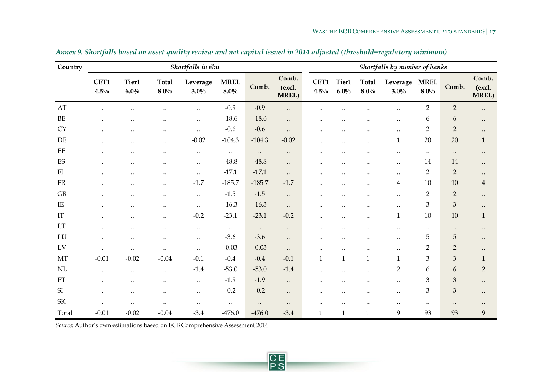| Country                           |              |                      |                           | Shortfalls in $\not\in b$ n |                        |           |                                 |                      |                      |                           | Shortfalls by number of banks |                        |                  |                                 |
|-----------------------------------|--------------|----------------------|---------------------------|-----------------------------|------------------------|-----------|---------------------------------|----------------------|----------------------|---------------------------|-------------------------------|------------------------|------------------|---------------------------------|
|                                   | CET1<br>4.5% | Tier1<br>$6.0\%$     | <b>Total</b><br>$8.0\%$   | Leverage<br>$3.0\%$         | <b>MREL</b><br>$8.0\%$ | Comb.     | Comb.<br>(excl.<br><b>MREL)</b> | CET1<br>4.5%         | Tier1<br>6.0%        | <b>Total</b><br>$8.0\%$   | Leverage<br>$3.0\%$           | <b>MREL</b><br>$8.0\%$ | Comb.            | Comb.<br>(excl.<br><b>MREL)</b> |
| AT                                | $\ddotsc$    | $\ddot{\phantom{a}}$ | $\ddotsc$                 | $\ddotsc$                   | $-0.9$                 | $-0.9$    | $\ddots$                        | $\ddot{\phantom{a}}$ |                      |                           | $\ddotsc$                     | $\overline{2}$         | $\overline{2}$   | $\bullet$ .                     |
| BE                                | $\ddotsc$    |                      | $\ddot{\phantom{0}}\cdot$ | $\ddotsc$                   | $-18.6$                | $-18.6$   | $\ddots$                        | $\ddotsc$            |                      |                           |                               | 6                      | 6                | $\ddotsc$                       |
| <b>CY</b>                         | $\ddotsc$    |                      | $\ddotsc$                 | $\ddotsc$                   | $-0.6$                 | $-0.6$    | $\ddotsc$                       | $\ddotsc$            |                      |                           | $\ldots$                      | $\overline{2}$         | $\overline{2}$   | $\ddotsc$                       |
| $\rm DE$                          | $\ddotsc$    |                      |                           | $-0.02$                     | $-104.3$               | $-104.3$  | $-0.02$                         | $\ddotsc$            |                      |                           | $\mathbf{1}$                  | 20                     | 20               | $\mathbf{1}$                    |
| $\rm EE$                          | $\ddotsc$    | $\ddotsc$            | $\ddotsc$                 | $\ddotsc$                   | $\ddotsc$              | $\ddotsc$ | $\ddotsc$                       | $\ddotsc$            | $\ddotsc$            |                           | $\ddotsc$                     | $\ddotsc$              | $\ldots$         | $\ddotsc$                       |
| $\mathop{\hbox{\rm ES}}$          | $\ddotsc$    |                      | $\ddot{\phantom{0}}\cdot$ | $\ddotsc$                   | $-48.8$                | $-48.8$   | $\ddots$                        | $\ddot{\phantom{a}}$ |                      |                           | $\ddotsc$                     | 14                     | 14               | $\ddotsc$                       |
| FI                                | $\ddotsc$    | $\ddotsc$            | $\ddotsc$                 | $\ddotsc$                   | $-17.1$                | $-17.1$   | $\ddots$                        | $\ddotsc$            |                      |                           | $\ldots$                      | $\overline{2}$         | $\overline{2}$   | $\ddotsc$                       |
| <b>FR</b>                         | $\ddotsc$    | $\ddotsc$            | $\ddotsc$                 | $-1.7$                      | $-185.7$               | $-185.7$  | $-1.7$                          | $\ddotsc$            |                      | $\ddot{\phantom{0}}\cdot$ | 4                             | 10                     | 10               | $\overline{4}$                  |
| <b>GR</b>                         | $\ddotsc$    | $\ddotsc$            | $\ddotsc$                 | $\ddotsc$                   | $-1.5$                 | $-1.5$    | $\ddots$                        | $\ddotsc$            | $\ddot{\phantom{0}}$ | $\ddot{\phantom{0}}$      | $\ldots$                      | $\overline{2}$         | $\overline{2}$   | $\ddotsc$                       |
| $\rm IE$                          | $\ddotsc$    | $\ddotsc$            | $\ddotsc$                 | $\ddotsc$                   | $-16.3$                | $-16.3$   | $\ddotsc$                       | $\ddotsc$            |                      |                           | $\ddotsc$                     | 3                      | 3                | $\ddotsc$                       |
| IT                                | $\ddotsc$    | $\ddotsc$            | $\ddotsc$                 | $-0.2$                      | $-23.1$                | $-23.1$   | $-0.2$                          | $\ddotsc$            | $\ddotsc$            | $\ddot{\phantom{0}}\cdot$ | $\mathbf{1}$                  | 10                     | 10               | $\mathbf{1}$                    |
| LT                                | $\ddotsc$    | $\ddotsc$            | $\ddotsc$                 | $\ddotsc$                   | $\ldots$               | $\ddotsc$ | $\ddotsc$                       | $\ddotsc$            |                      |                           | $\ddotsc$                     | $\ddotsc$              | $\ddotsc$        | $\ddotsc$                       |
| LU                                | $\ddotsc$    |                      | $\ddotsc$                 | $\ldots$                    | $-3.6$                 | $-3.6$    | $\ddots$                        |                      |                      |                           | $\ddotsc$                     | 5                      | $\sqrt{5}$       | $\ddotsc$                       |
| LV                                | $\ddotsc$    | $\ddotsc$            | $\ddotsc$                 | $\ddotsc$                   | $-0.03$                | $-0.03$   | $\ddots$                        | $\ddot{\phantom{a}}$ |                      |                           | $\ddotsc$                     | $\overline{2}$         | $\overline{2}$   | $\ddotsc$                       |
| MT                                | $-0.01$      | $-0.02$              | $-0.04$                   | $-0.1$                      | $-0.4$                 | $-0.4$    | $-0.1$                          | 1                    | $\mathbf{1}$         | 1                         | 1                             | 3                      | 3                | $\mathbf{1}$                    |
| NL                                | $\ddotsc$    | $\ddotsc$            | $\ddotsc$                 | $-1.4$                      | $-53.0$                | $-53.0$   | $-1.4$                          | $\ddotsc$            | $\ddotsc$            | $\ddotsc$                 | $\overline{2}$                | 6                      | $\boldsymbol{6}$ | $\overline{2}$                  |
| PT                                | $\ddotsc$    | $\ddotsc$            | $\ddotsc$                 | $\ddotsc$                   | $-1.9$                 | $-1.9$    | $\ddots$                        | $\ddotsc$            |                      |                           | $\cdot$ .                     | 3                      | $\mathfrak{Z}$   | $\ddotsc$                       |
| SI                                | $\ddotsc$    | $\ddotsc$            | $\ddotsc$                 | $\ddotsc$                   | $-0.2$                 | $-0.2$    | $\ddots$                        | $\ddotsc$            | $\ddot{\phantom{0}}$ | $\ddotsc$                 | $\ldots$                      | 3                      | 3                | $\ddotsc$                       |
| $\ensuremath{\mathsf{SK}}\xspace$ | $\ddotsc$    | $\ldots$             | $\cdot\cdot$              | $\ddotsc$                   | $\ddotsc$              | $\ddotsc$ | $\ddotsc$                       | $\ddotsc$            | $\ddotsc$            | $\ddotsc$                 | $\ldots$                      | $\ddotsc$              | $\ddotsc$        | $\ddotsc$                       |
| Total                             | $-0.01$      | $-0.02$              | $-0.04$                   | $-3.4$                      | $-476.0$               | $-476.0$  | $-3.4$                          | $\mathbf{1}$         | $\mathbf{1}$         | $\mathbf{1}$              | 9                             | 93                     | 93               | 9                               |

*Annex 9. Shortfalls based on asset quality review and net capital issued in 2014 adjusted (threshold=regulatory minimum)*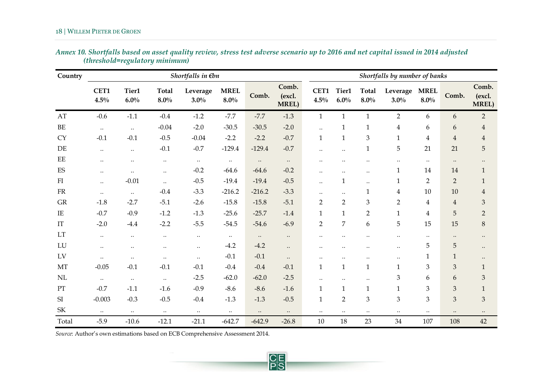| Country                           |                 |                  |                         | Shortfalls in $\notin b$ n |                        |           |                                 |                      |                      |                         | Shortfalls by number of banks |                        |                |                                 |
|-----------------------------------|-----------------|------------------|-------------------------|----------------------------|------------------------|-----------|---------------------------------|----------------------|----------------------|-------------------------|-------------------------------|------------------------|----------------|---------------------------------|
|                                   | CET1<br>$4.5\%$ | Tier1<br>$6.0\%$ | <b>Total</b><br>$8.0\%$ | Leverage<br>$3.0\%$        | <b>MREL</b><br>$8.0\%$ | Comb.     | Comb.<br>(excl.<br><b>MREL)</b> | CET1<br>$4.5\%$      | Tier1<br>6.0%        | <b>Total</b><br>$8.0\%$ | Leverage<br>$3.0\%$           | <b>MREL</b><br>$8.0\%$ | Comb.          | Comb.<br>(excl.<br><b>MREL)</b> |
| AT                                | $-0.6$          | $-1.1$           | $-0.4$                  | $-1.2$                     | $-7.7$                 | $-7.7$    | $-1.3$                          | $\mathbf{1}$         | $\mathbf{1}$         | $\mathbf{1}$            | $\overline{2}$                | 6                      | 6              | $\overline{2}$                  |
| $\rm BE$                          | $\ldots$        | $\ddotsc$        | $-0.04$                 | $-2.0$                     | $-30.5$                | $-30.5$   | $-2.0$                          | $\ddotsc$            | $\mathbf{1}$         | $\mathbf{1}$            | $\overline{4}$                | 6                      | 6              | $\overline{4}$                  |
| ${\rm CY}$                        | $-0.1$          | $-0.1$           | $-0.5$                  | $-0.04$                    | $-2.2$                 | $-2.2$    | $-0.7$                          | $\mathbf{1}$         | $\mathbf{1}$         | $\mathfrak{Z}$          | $\mathbf{1}$                  | $\overline{4}$         | $\overline{4}$ | $\overline{4}$                  |
| DE                                | $\ddotsc$       | $\ddotsc$        | $-0.1$                  | $-0.7$                     | $-129.4$               | $-129.4$  | $-0.7$                          | $\ddotsc$            | $\ddotsc$            | $\mathbf{1}$            | 5                             | 21                     | 21             | 5                               |
| $\rm EE$                          | $\ddotsc$       | $\ddotsc$        | $\ddotsc$               | $\ddotsc$                  | $\ddotsc$              | $\ddotsc$ | $\ddotsc$                       | $\ddotsc$            |                      |                         | $\ldots$                      | $\ddotsc$              | $\ddotsc$      | $\ddotsc$                       |
| $\mathop{\hbox{\rm ES}}$          | $\ddotsc$       | $\ddotsc$        | $\ddotsc$               | $-0.2$                     | $-64.6$                | $-64.6$   | $-0.2$                          | $\ddot{\phantom{a}}$ | $\ddot{\phantom{0}}$ | $\ddotsc$               | $\mathbf{1}$                  | 14                     | 14             | $\mathbf{1}$                    |
| FI                                | $\ddotsc$       | $-0.01$          | $\ddotsc$               | $-0.5$                     | $-19.4$                | $-19.4$   | $-0.5$                          | $\ddotsc$            | $\mathbf{1}$         | $\ddotsc$               | $\mathbf{1}$                  | $\overline{2}$         | $\overline{2}$ | $\mathbf{1}$                    |
| ${\rm FR}$                        | $\ddotsc$       | $\ddotsc$        | $-0.4$                  | $-3.3$                     | $-216.2$               | $-216.2$  | $-3.3$                          | $\ddot{\phantom{a}}$ | $\ddotsc$            | $\mathbf{1}$            | $\overline{4}$                | 10                     | 10             | $\overline{4}$                  |
| GR                                | $-1.8$          | $-2.7$           | $-5.1$                  | $-2.6$                     | $-15.8$                | $-15.8$   | $-5.1$                          | $\overline{2}$       | $\overline{2}$       | 3                       | $\overline{2}$                | 4                      | $\overline{4}$ | $\ensuremath{\mathsf{3}}$       |
| $\rm IE$                          | $-0.7$          | $-0.9$           | $-1.2$                  | $-1.3$                     | $-25.6$                | $-25.7$   | $-1.4$                          | $\mathbf{1}$         | $\mathbf{1}$         | $\overline{2}$          | $\mathbf{1}$                  | $\overline{4}$         | 5              | $\overline{2}$                  |
| IT                                | $-2.0$          | $-4.4$           | $-2.2$                  | $-5.5$                     | $-54.5$                | $-54.6$   | $-6.9$                          | $\overline{2}$       | $\overline{7}$       | 6                       | 5                             | 15                     | 15             | $\,8\,$                         |
| LT                                | $\ddotsc$       | $\cdot\cdot$     | $\ddotsc$               | $\ddotsc$                  | $\ddotsc$              | $\ddotsc$ | $\ddotsc$                       | $\ddotsc$            |                      |                         | $\ddotsc$                     | $\ddotsc$              | $\bullet$ .    | $\bullet$ .                     |
| LU                                | $\ddotsc$       | $\ddotsc$        | $\ddotsc$               | $\ddotsc$                  | $-4.2$                 | $-4.2$    | $\ddots$                        | $\ddotsc$            | $\ddot{\phantom{0}}$ |                         | $\cdot\cdot$                  | 5                      | 5              | $\bullet$ .                     |
| LV                                | $\ddotsc$       | $\ldots$         | $\ddotsc$               | $\ddotsc$                  | $-0.1$                 | $-0.1$    | $\ddotsc$                       | $\ddotsc$            | $\ddotsc$            | $\ddotsc$               | $\ddotsc$                     | 1                      | $\mathbf{1}$   | $\bullet\bullet$                |
| MT                                | $-0.05$         | $-0.1$           | $-0.1$                  | $-0.1$                     | $-0.4$                 | $-0.4$    | $-0.1$                          | $\mathbf{1}$         | $\mathbf{1}$         | $\mathbf{1}$            | $\mathbf{1}$                  | 3                      | $\mathfrak{Z}$ | $\mathbf{1}$                    |
| NL                                | $\ddotsc$       | $\ldots$         | $\ddots$                | $-2.5$                     | $-62.0$                | $-62.0$   | $-2.5$                          | $\ddotsc$            | $\ddotsc$            | $\ddotsc$               | $\mathfrak{Z}$                | 6                      | 6              | $\ensuremath{\mathfrak{Z}}$     |
| $\mathcal{P}\mathcal{T}$          | $-0.7$          | $-1.1$           | $-1.6$                  | $-0.9$                     | $-8.6$                 | $-8.6$    | $-1.6$                          | $\mathbf{1}$         | $\mathbf{1}$         | $\mathbf{1}$            | $\mathbf{1}$                  | 3                      | 3              | $\mathbf{1}$                    |
| SI                                | $-0.003$        | $-0.3$           | $-0.5$                  | $-0.4$                     | $-1.3$                 | $-1.3$    | $-0.5$                          | $\mathbf{1}$         | $\overline{2}$       | 3                       | 3                             | 3                      | 3              | $\mathfrak{B}$                  |
| $\ensuremath{\mathsf{SK}}\xspace$ | $\ddots$        | $\ldots$         | $\ddots$                | $\ddots$                   | $\ddots$               | $\ddotsc$ | $\ddotsc$                       | $\ddotsc$            | $\ddotsc$            | $\ldots$                | $\ldots$                      | $\ddotsc$              | $\ddotsc$      | $\bullet\bullet$                |
| Total                             | $-5.9$          | $-10.6$          | $-12.1$                 | $-21.1$                    | $-642.7$               | $-642.9$  | $-26.8$                         | $10\,$               | 18                   | 23                      | 34                            | 107                    | 108            | 42                              |

**PS** 

| Annex 10. Shortfalls based on asset quality review, stress test adverse scenario up to 2016 and net capital issued in 2014 adjusted |  |  |
|-------------------------------------------------------------------------------------------------------------------------------------|--|--|
| (threshold=regulatory minimum)                                                                                                      |  |  |